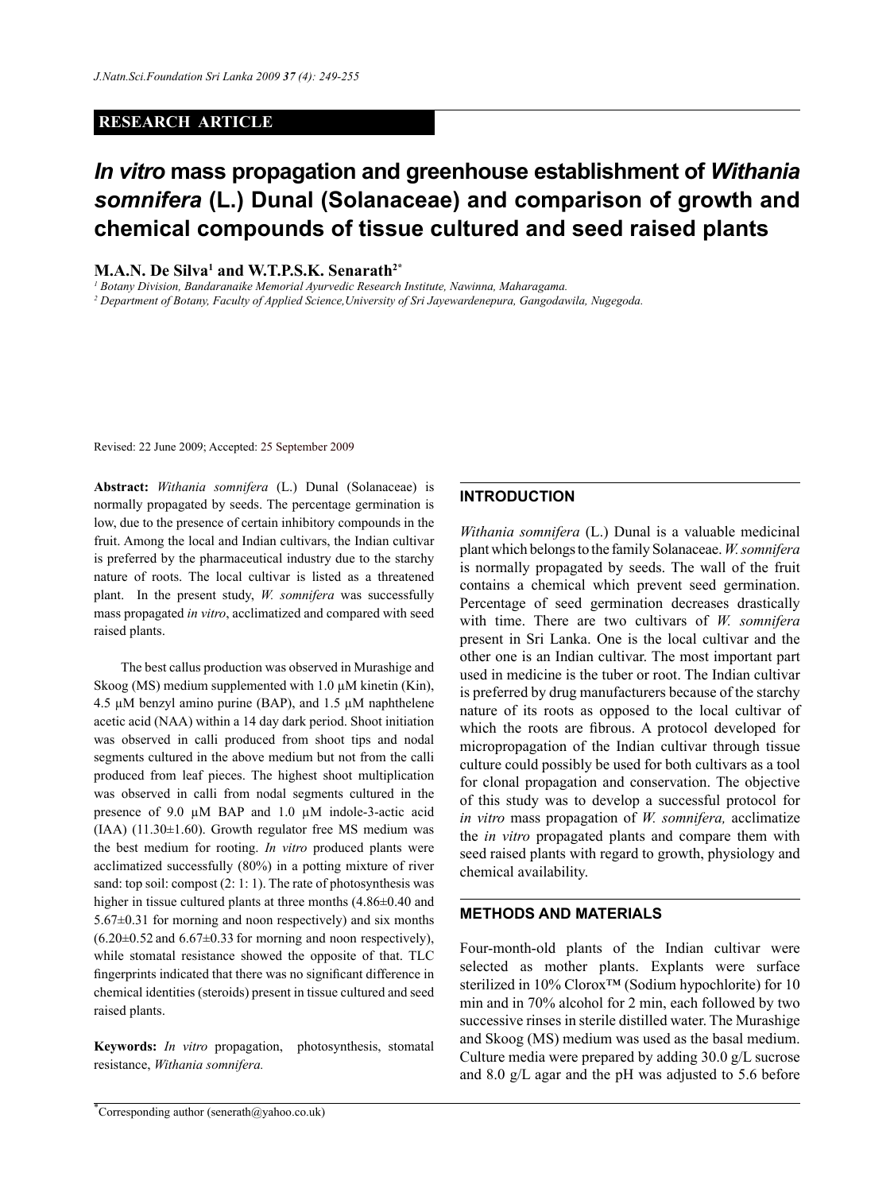#### **RESEARCH ARTICLE**

# *In vitro* **mass propagation and greenhouse establishment of** *Withania somnifera* **(L.) Dunal (Solanaceae) and comparison of growth and chemical compounds of tissue cultured and seed raised plants**

#### **M.A.N. De Silva1 and W.T.P.S.K. Senarath2\***

*1 Botany Division, Bandaranaike Memorial Ayurvedic Research Institute, Nawinna, Maharagama.*

*2 Department of Botany, Faculty of Applied Science,University of Sri Jayewardenepura, Gangodawila, Nugegoda.*

Revised: 22 June 2009; Accepted: 25 September 2009

**Abstract:** *Withania somnifera* (L.) Dunal (Solanaceae) is normally propagated by seeds. The percentage germination is low, due to the presence of certain inhibitory compounds in the fruit. Among the local and Indian cultivars, the Indian cultivar is preferred by the pharmaceutical industry due to the starchy nature of roots. The local cultivar is listed as a threatened plant. In the present study, *W. somnifera* was successfully mass propagated *in vitro*, acclimatized and compared with seed raised plants.

The best callus production was observed in Murashige and Skoog (MS) medium supplemented with 1.0 µM kinetin (Kin), 4.5  $\mu$ M benzyl amino purine (BAP), and 1.5  $\mu$ M naphthelene acetic acid (NAA) within a 14 day dark period. Shoot initiation was observed in calli produced from shoot tips and nodal segments cultured in the above medium but not from the calli produced from leaf pieces. The highest shoot multiplication was observed in calli from nodal segments cultured in the presence of 9.0 µM BAP and 1.0 µM indole-3-actic acid  $(IAA)$   $(11.30\pm1.60)$ . Growth regulator free MS medium was the best medium for rooting. *In vitro* produced plants were acclimatized successfully (80%) in a potting mixture of river sand: top soil: compost (2: 1: 1). The rate of photosynthesis was higher in tissue cultured plants at three months  $(4.86\pm0.40$  and 5.67±0.31 for morning and noon respectively) and six months  $(6.20\pm0.52$  and  $6.67\pm0.33$  for morning and noon respectively), while stomatal resistance showed the opposite of that. TLC fingerprints indicated that there was no significant difference in chemical identities (steroids) present in tissue cultured and seed raised plants.

**Keywords:** *In vitro* propagation, photosynthesis, stomatal resistance, *Withania somnifera.*

# **INTRODUCTION**

*Withania somnifera* (L.) Dunal is a valuable medicinal plant which belongs to the family Solanaceae. *W. somnifera*  is normally propagated by seeds. The wall of the fruit contains a chemical which prevent seed germination. Percentage of seed germination decreases drastically with time. There are two cultivars of *W. somnifera*  present in Sri Lanka. One is the local cultivar and the other one is an Indian cultivar. The most important part used in medicine is the tuber or root. The Indian cultivar is preferred by drug manufacturers because of the starchy nature of its roots as opposed to the local cultivar of which the roots are fibrous. A protocol developed for micropropagation of the Indian cultivar through tissue culture could possibly be used for both cultivars as a tool for clonal propagation and conservation. The objective of this study was to develop a successful protocol for *in vitro* mass propagation of *W. somnifera,* acclimatize the *in vitro* propagated plants and compare them with seed raised plants with regard to growth, physiology and chemical availability.

#### **METHODS AND MATERIALS**

Four-month-old plants of the Indian cultivar were selected as mother plants. Explants were surface sterilized in 10% Clorox<sup>™</sup> (Sodium hypochlorite) for 10 min and in 70% alcohol for 2 min, each followed by two successive rinses in sterile distilled water. The Murashige and Skoog (MS) medium was used as the basal medium. Culture media were prepared by adding 30.0 g/L sucrose and 8.0 g/L agar and the pH was adjusted to 5.6 before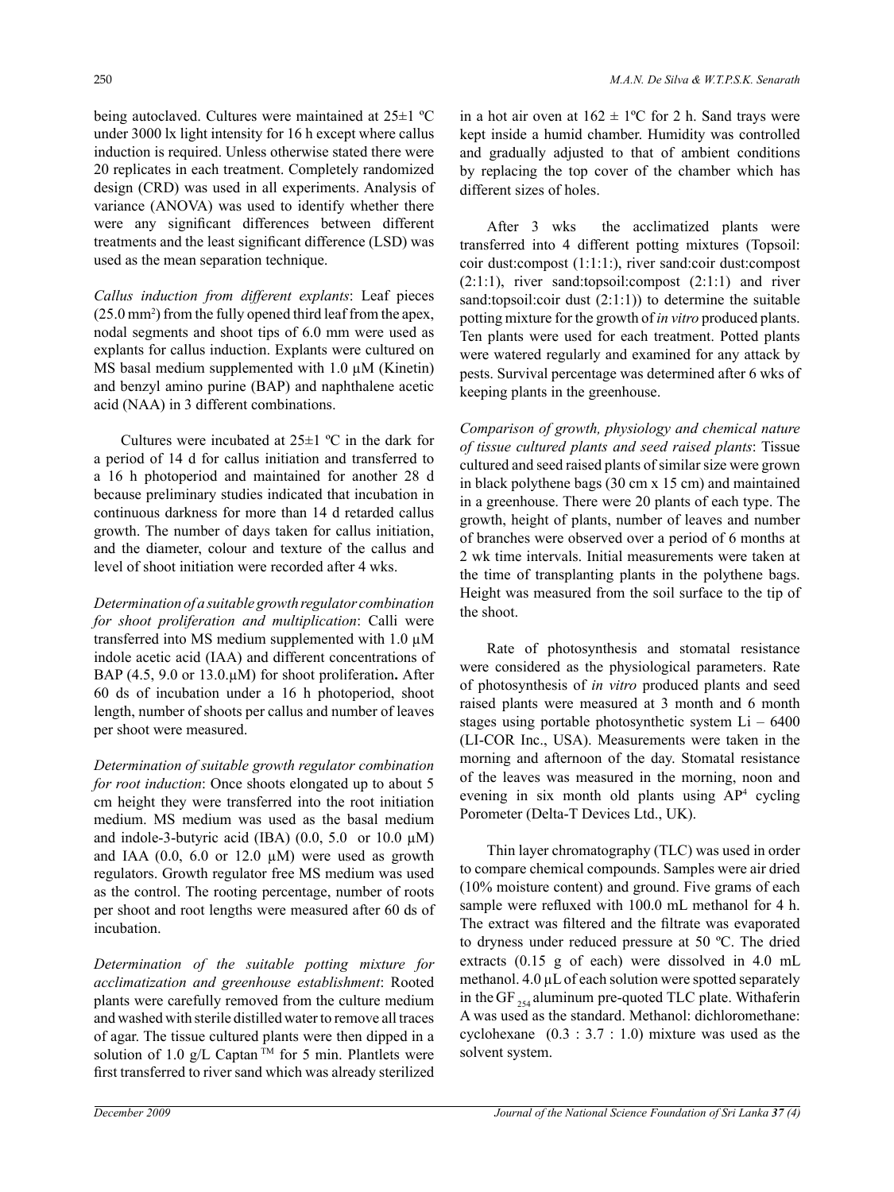being autoclaved. Cultures were maintained at 25±1 ºC under 3000 lx light intensity for 16 h except where callus induction is required. Unless otherwise stated there were 20 replicates in each treatment. Completely randomized design (CRD) was used in all experiments. Analysis of variance (ANOVA) was used to identify whether there were any significant differences between different treatments and the least significant difference (LSD) was used as the mean separation technique.

*Callus induction from different explants*: Leaf pieces (25.0 mm2 ) from the fully opened third leaf from the apex, nodal segments and shoot tips of 6.0 mm were used as explants for callus induction. Explants were cultured on MS basal medium supplemented with 1.0  $\mu$ M (Kinetin) and benzyl amino purine (BAP) and naphthalene acetic acid (NAA) in 3 different combinations.

Cultures were incubated at  $25\pm1$  °C in the dark for a period of 14 d for callus initiation and transferred to a 16 h photoperiod and maintained for another 28 d because preliminary studies indicated that incubation in continuous darkness for more than 14 d retarded callus growth. The number of days taken for callus initiation, and the diameter, colour and texture of the callus and level of shoot initiation were recorded after 4 wks.

*Determination of a suitable growth regulator combination for shoot proliferation and multiplication*: Calli were transferred into MS medium supplemented with 1.0 µM indole acetic acid (IAA) and different concentrations of BAP (4.5, 9.0 or 13.0.µM) for shoot proliferation**.** After 60 ds of incubation under a 16 h photoperiod, shoot length, number of shoots per callus and number of leaves per shoot were measured.

*Determination of suitable growth regulator combination for root induction*: Once shoots elongated up to about 5 cm height they were transferred into the root initiation medium. MS medium was used as the basal medium and indole-3-butyric acid (IBA)  $(0.0, 5.0 \text{ or } 10.0 \text{ }\mu\text{M})$ and IAA  $(0.0, 6.0 \text{ or } 12.0 \text{ }\mu\text{M})$  were used as growth regulators. Growth regulator free MS medium was used as the control. The rooting percentage, number of roots per shoot and root lengths were measured after 60 ds of incubation.

*Determination of the suitable potting mixture for acclimatization and greenhouse establishment*: Rooted plants were carefully removed from the culture medium and washed with sterile distilled water to remove all traces of agar. The tissue cultured plants were then dipped in a solution of 1.0 g/L Captan<sup>TM</sup> for 5 min. Plantlets were first transferred to river sand which was already sterilized in a hot air oven at  $162 \pm 1$ °C for 2 h. Sand trays were kept inside a humid chamber. Humidity was controlled and gradually adjusted to that of ambient conditions by replacing the top cover of the chamber which has different sizes of holes.

After 3 wks the acclimatized plants were transferred into 4 different potting mixtures (Topsoil: coir dust:compost (1:1:1:), river sand:coir dust:compost (2:1:1), river sand:topsoil:compost (2:1:1) and river sand:topsoil:coir dust  $(2:1:1)$ ) to determine the suitable potting mixture for the growth of *in vitro* produced plants. Ten plants were used for each treatment. Potted plants were watered regularly and examined for any attack by pests. Survival percentage was determined after 6 wks of keeping plants in the greenhouse.

*Comparison of growth, physiology and chemical nature of tissue cultured plants and seed raised plants*: Tissue cultured and seed raised plants of similar size were grown in black polythene bags (30 cm x 15 cm) and maintained in a greenhouse. There were 20 plants of each type. The growth, height of plants, number of leaves and number of branches were observed over a period of 6 months at 2 wk time intervals. Initial measurements were taken at the time of transplanting plants in the polythene bags. Height was measured from the soil surface to the tip of the shoot.

Rate of photosynthesis and stomatal resistance were considered as the physiological parameters. Rate of photosynthesis of *in vitro* produced plants and seed raised plants were measured at 3 month and 6 month stages using portable photosynthetic system  $Li - 6400$ (LI-COR Inc., USA). Measurements were taken in the morning and afternoon of the day. Stomatal resistance of the leaves was measured in the morning, noon and evening in six month old plants using AP4 cycling Porometer (Delta-T Devices Ltd., UK).

Thin layer chromatography (TLC) was used in order to compare chemical compounds. Samples were air dried (10% moisture content) and ground. Five grams of each sample were refluxed with 100.0 mL methanol for 4 h. The extract was filtered and the filtrate was evaporated to dryness under reduced pressure at 50 ºC. The dried extracts (0.15 g of each) were dissolved in 4.0 mL methanol. 4.0 µL of each solution were spotted separately in the GF $_{254}$  aluminum pre-quoted TLC plate. Withaferin A was used as the standard. Methanol: dichloromethane: cyclohexane (0.3 : 3.7 : 1.0) mixture was used as the solvent system.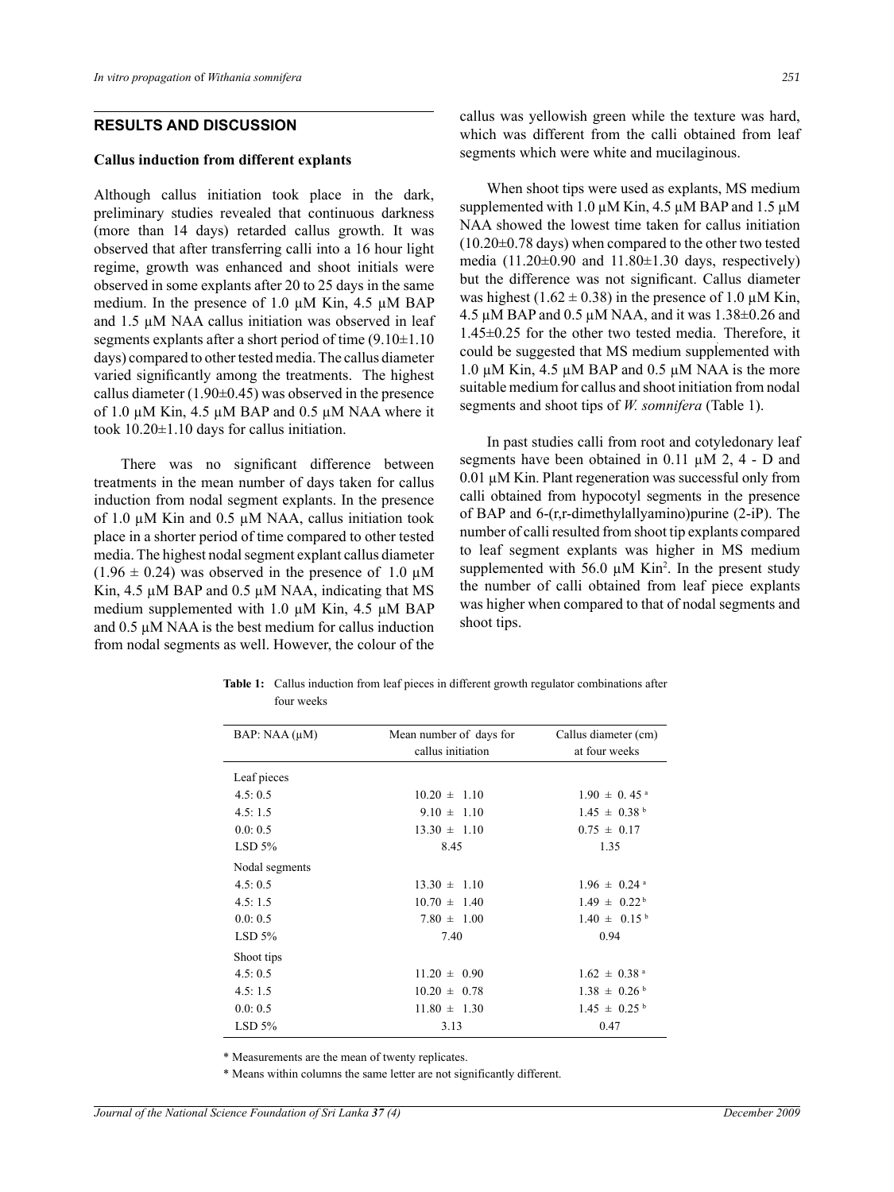#### **RESULTS AND DISCUSSION**

#### **Callus induction from different explants**

Although callus initiation took place in the dark, preliminary studies revealed that continuous darkness (more than 14 days) retarded callus growth. It was observed that after transferring calli into a 16 hour light regime, growth was enhanced and shoot initials were observed in some explants after 20 to 25 days in the same medium. In the presence of 1.0  $\mu$ M Kin, 4.5  $\mu$ M BAP and 1.5 µM NAA callus initiation was observed in leaf segments explants after a short period of time (9.10±1.10) days) compared to other tested media. The callus diameter varied significantly among the treatments. The highest callus diameter  $(1.90\pm 0.45)$  was observed in the presence of 1.0  $\mu$ M Kin, 4.5  $\mu$ M BAP and 0.5  $\mu$ M NAA where it took 10.20±1.10 days for callus initiation.

There was no significant difference between treatments in the mean number of days taken for callus induction from nodal segment explants. In the presence of 1.0  $\mu$ M Kin and 0.5  $\mu$ M NAA, callus initiation took place in a shorter period of time compared to other tested media. The highest nodal segment explant callus diameter  $(1.96 \pm 0.24)$  was observed in the presence of 1.0  $\mu$ M Kin, 4.5 µM BAP and 0.5 µM NAA, indicating that MS medium supplemented with 1.0  $\mu$ M Kin, 4.5  $\mu$ M BAP and  $0.5 \mu M NAA$  is the best medium for callus induction from nodal segments as well. However, the colour of the callus was yellowish green while the texture was hard, which was different from the calli obtained from leaf segments which were white and mucilaginous.

When shoot tips were used as explants, MS medium supplemented with 1.0  $\mu$ M Kin, 4.5  $\mu$ M BAP and 1.5  $\mu$ M NAA showed the lowest time taken for callus initiation  $(10.20\pm0.78$  days) when compared to the other two tested media  $(11.20\pm0.90$  and  $11.80\pm1.30$  days, respectively) but the difference was not significant. Callus diameter was highest  $(1.62 \pm 0.38)$  in the presence of 1.0 µM Kin, 4.5 µM BAP and 0.5 µM NAA, and it was 1.38±0.26 and 1.45±0.25 for the other two tested media.. Therefore, it could be suggested that MS medium supplemented with 1.0 µM Kin, 4.5 µM BAP and 0.5 µM NAA is the more suitable medium for callus and shoot initiation from nodal segments and shoot tips of *W. somnifera* (Table 1).

In past studies calli from root and cotyledonary leaf segments have been obtained in 0.11  $\mu$ M 2, 4 - D and 0.01 µM Kin. Plant regeneration was successful only from calli obtained from hypocotyl segments in the presence of BAP and 6-(r,r-dimethylallyamino)purine (2-iP). The number of calli resulted from shoot tip explants compared to leaf segment explants was higher in MS medium supplemented with  $56.0 \mu M$  Kin<sup>2</sup>. In the present study the number of calli obtained from leaf piece explants was higher when compared to that of nodal segments and shoot tips.

| $BAP: NAA(\mu M)$ | Mean number of days for | Callus diameter (cm)         |
|-------------------|-------------------------|------------------------------|
|                   | callus initiation       | at four weeks                |
| Leaf pieces       |                         |                              |
| 4.5:0.5           | $10.20 \pm 1.10$        | $1.90 \pm 0.45$ <sup>a</sup> |
| 4.5:1.5           | $9.10 \pm 1.10$         | $1.45 \pm 0.38^{\mathrm{b}}$ |
| 0.0:0.5           | $13.30 \pm 1.10$        | $0.75 \pm 0.17$              |
| $LSD$ 5%          | 8.45                    | 1.35                         |
| Nodal segments    |                         |                              |
| 4.5:0.5           | $13.30 \pm 1.10$        | $1.96 \pm 0.24$ <sup>a</sup> |
| 4.5:1.5           | $10.70 \pm 1.40$        | $1.49 \pm 0.22^{\mathrm{b}}$ |
| 0.0:0.5           | $7.80 \pm 1.00$         | $1.40 \pm 0.15^{\text{ b}}$  |
| $LSD$ 5%          | 7.40                    | 0.94                         |
| Shoot tips        |                         |                              |
| 4.5:0.5           | $11.20 \pm 0.90$        | $1.62 \pm 0.38$ <sup>a</sup> |
| 4.5:1.5           | $10.20 \pm 0.78$        | $1.38 \pm 0.26^{\mathrm{b}}$ |
| 0.0:0.5           | $11.80 \pm 1.30$        | $1.45 \pm 0.25^{\mathrm{b}}$ |
| $LSD$ 5%          | 3.13                    | 0.47                         |

**Table 1:** Callus induction from leaf pieces in different growth regulator combinations after four weeks

\* Measurements are the mean of twenty replicates.

\* Means within columns the same letter are not significantly different.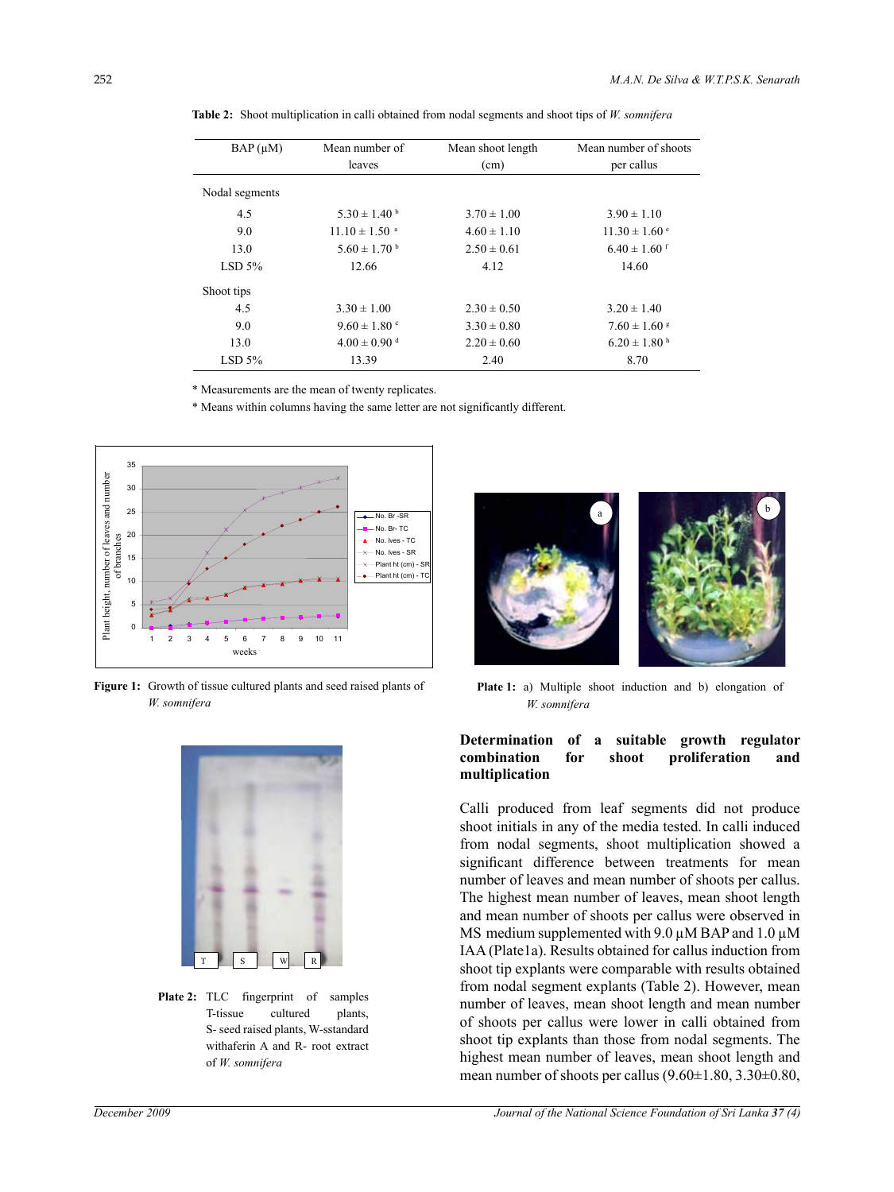| $BAP(\mu M)$   | Mean number of<br>leaves      | Mean shoot length<br>(cm) | Mean number of shoots<br>per callus |
|----------------|-------------------------------|---------------------------|-------------------------------------|
| Nodal segments |                               |                           |                                     |
| 4.5            | $5.30 \pm 1.40^{\mathrm{b}}$  | $3.70 \pm 1.00$           | $3.90 \pm 1.10$                     |
| 9.0            | $11.10 \pm 1.50$ <sup>a</sup> | $4.60 \pm 1.10$           | $11.30 \pm 1.60$ °                  |
| 13.0           | $5.60 \pm 1.70^{\mathrm{b}}$  | $2.50 \pm 0.61$           | $6.40 \pm 1.60$ f                   |
| $LSD$ 5%       | 12.66                         | 4.12                      | 14.60                               |
| Shoot tips     |                               |                           |                                     |
| 4.5            | $3.30 \pm 1.00$               | $2.30 \pm 0.50$           | $3.20 \pm 1.40$                     |
| 9.0            | $9.60 \pm 1.80$ c             | $3.30 \pm 0.80$           | $7.60 \pm 1.60$ s                   |
| 13.0           | $4.00 \pm 0.90$ <sup>d</sup>  | $2.20 \pm 0.60$           | $6.20 \pm 1.80$ h                   |
| $LSD$ 5%       | 13.39                         | 2.40                      | 8.70                                |

**Table 2:** Shoot multiplication in calli obtained from nodal segments and shoot tips of *W. somnifera*

**FIGURES: Figure 2: Growth of tissue cultured plants and seed raised plants of**  *W. somnifera* \* Measurements are the mean of twenty replicates.

\* Means within columns having the same letter are not significantly different.



**Figure 1:** Growth of tissue cultured plants and seed raised plants of *W. somnifera*



withaferin A and R- root extract T-tissue cultured plants, **Plate 2:** TLC fingerprint of samples S- seed raised plants, W-sstandard of *W. somnifera* 



of **Plate 1:** a) Multiple shoot induction and b) elongation of *W. somnifera*

### **Determination of a suitable growth regulator combination for shoot proliferation and multiplication**

Calli produced from leaf segments did not produce shoot initials in any of the media tested. In calli induced from nodal segments, shoot multiplication showed a significant difference between treatments for mean number of leaves and mean number of shoots per callus. The highest mean number of leaves, mean shoot length and mean number of shoots per callus were observed in MS medium supplemented with 9.0  $\mu$ M BAP and 1.0  $\mu$ M IAA (Plate1a). Results obtained for callus induction from shoot tip explants were comparable with results obtained from nodal segment explants (Table 2). However, mean number of leaves, mean shoot length and mean number of shoots per callus were lower in calli obtained from shoot tip explants than those from nodal segments. The highest mean number of leaves, mean shoot length and mean number of shoots per callus  $(9.60 \pm 1.80, 3.30 \pm 0.80,$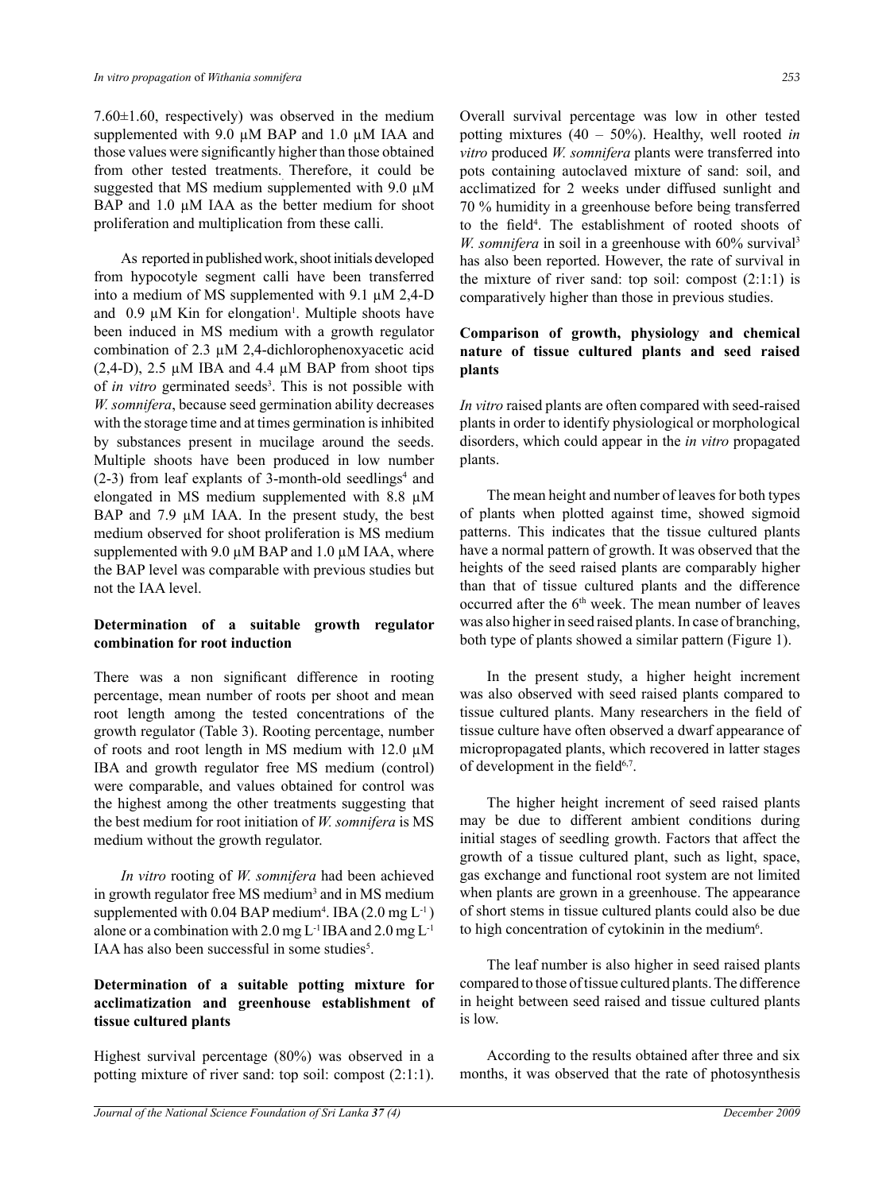$7.60 \pm 1.60$ , respectively) was observed in the medium supplemented with 9.0  $\mu$ M BAP and 1.0  $\mu$ M IAA and those values were significantly higher than those obtained from other tested treatments.. Therefore, it could be suggested that MS medium supplemented with 9.0  $\mu$ M BAP and 1.0  $\mu$ M IAA as the better medium for shoot proliferation and multiplication from these calli.

As reported in published work, shoot initials developed from hypocotyle segment calli have been transferred into a medium of MS supplemented with 9.1 µM 2,4-D and  $0.9 \mu M$  Kin for elongation<sup>1</sup>. Multiple shoots have been induced in MS medium with a growth regulator combination of 2.3 µM 2,4-dichlorophenoxyacetic acid  $(2,4-D)$ , 2.5  $\mu$ M IBA and 4.4  $\mu$ M BAP from shoot tips of *in vitro* germinated seeds<sup>3</sup>. This is not possible with *W. somnifera*, because seed germination ability decreases with the storage time and at times germination is inhibited by substances present in mucilage around the seeds. Multiple shoots have been produced in low number  $(2-3)$  from leaf explants of 3-month-old seedlings<sup>4</sup> and elongated in MS medium supplemented with 8.8 µM BAP and 7.9  $\mu$ M IAA. In the present study, the best medium observed for shoot proliferation is MS medium supplemented with 9.0  $\mu$ M BAP and 1.0  $\mu$ M IAA, where the BAP level was comparable with previous studies but not the IAA level.

# **Determination of a suitable growth regulator combination for root induction**

There was a non significant difference in rooting percentage, mean number of roots per shoot and mean root length among the tested concentrations of the growth regulator (Table 3). Rooting percentage, number of roots and root length in MS medium with 12.0 µM IBA and growth regulator free MS medium (control) were comparable, and values obtained for control was the highest among the other treatments suggesting that the best medium for root initiation of *W. somnifera* is MS medium without the growth regulator.

*In vitro* rooting of *W. somnifera* had been achieved in growth regulator free MS medium<sup>3</sup> and in MS medium supplemented with  $0.04$  BAP medium<sup>4</sup>. IBA  $(2.0 \text{ mg L}^{-1})$ alone or a combination with 2.0 mg  $L^{-1}$  IBA and 2.0 mg  $L^{-1}$ IAA has also been successful in some studies<sup>5</sup>.

# **Determination of a suitable potting mixture for acclimatization and greenhouse establishment of tissue cultured plants**

Highest survival percentage (80%) was observed in a potting mixture of river sand: top soil: compost (2:1:1). Overall survival percentage was low in other tested potting mixtures (40 – 50%). Healthy, well rooted *in vitro* produced *W. somnifera* plants were transferred into pots containing autoclaved mixture of sand: soil, and acclimatized for 2 weeks under diffused sunlight and 70 % humidity in a greenhouse before being transferred to the field<sup>4</sup>. The establishment of rooted shoots of *W. somnifera* in soil in a greenhouse with 60% survival<sup>3</sup> has also been reported. However, the rate of survival in the mixture of river sand: top soil: compost  $(2:1:1)$  is comparatively higher than those in previous studies.

# **Comparison of growth, physiology and chemical nature of tissue cultured plants and seed raised plants**

*In vitro* raised plants are often compared with seed-raised plants in order to identify physiological or morphological disorders, which could appear in the *in vitro* propagated plants.

The mean height and number of leaves for both types of plants when plotted against time, showed sigmoid patterns. This indicates that the tissue cultured plants have a normal pattern of growth. It was observed that the heights of the seed raised plants are comparably higher than that of tissue cultured plants and the difference occurred after the  $6<sup>th</sup>$  week. The mean number of leaves was also higher in seed raised plants. In case of branching, both type of plants showed a similar pattern (Figure 1).

In the present study, a higher height increment was also observed with seed raised plants compared to tissue cultured plants. Many researchers in the field of tissue culture have often observed a dwarf appearance of micropropagated plants, which recovered in latter stages of development in the field<sup>6,7</sup>.

The higher height increment of seed raised plants may be due to different ambient conditions during initial stages of seedling growth. Factors that affect the growth of a tissue cultured plant, such as light, space, gas exchange and functional root system are not limited when plants are grown in a greenhouse. The appearance of short stems in tissue cultured plants could also be due to high concentration of cytokinin in the medium<sup>6</sup>.

The leaf number is also higher in seed raised plants compared to those of tissue cultured plants. The difference in height between seed raised and tissue cultured plants is low.

According to the results obtained after three and six months, it was observed that the rate of photosynthesis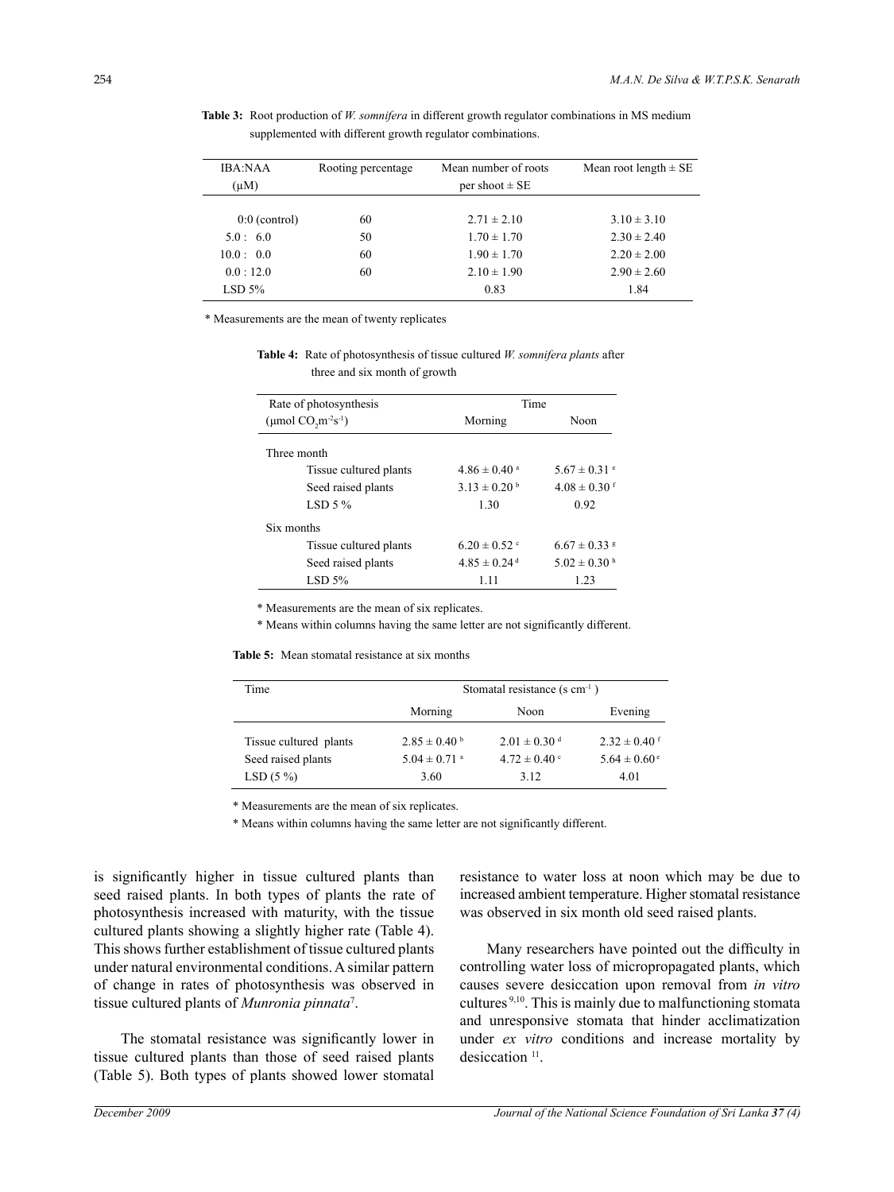| <b>IBA:NAA</b>  | Rooting percentage | Mean number of roots | Mean root length $\pm$ SE |  |
|-----------------|--------------------|----------------------|---------------------------|--|
| $(\mu M)$       |                    | per shoot $\pm$ SE   |                           |  |
|                 |                    |                      |                           |  |
| $0:0$ (control) | 60                 | $2.71 \pm 2.10$      | $3.10 \pm 3.10$           |  |
| 5.0:6.0         | 50                 | $1.70 \pm 1.70$      | $2.30 \pm 2.40$           |  |
| 10.0:0.0        | 60                 | $1.90 \pm 1.70$      | $2.20 \pm 2.00$           |  |
| 0.0:12.0        | 60                 | $2.10 \pm 1.90$      | $2.90 \pm 2.60$           |  |
| $LSD$ 5%        |                    | 0.83                 | 1.84                      |  |

**Table 3:** Root production of *W. somnifera* in different growth regulator combinations in MS medium supplemented with different growth regulator combinations.

\* Measurements are the mean of twenty replicates

**Table 4:** Rate of photosynthesis of tissue cultured *W. somnifera plants* after three and six month of growth

| Rate of photosynthesis                                        | Time                         |                   |  |
|---------------------------------------------------------------|------------------------------|-------------------|--|
| ( $\mu$ mol CO <sub>2</sub> m <sup>-2</sup> s <sup>-1</sup> ) | Morning                      | Noon              |  |
| Three month                                                   |                              |                   |  |
| Tissue cultured plants                                        | $4.86 \pm 0.40$ <sup>a</sup> | $5.67 \pm 0.31$ e |  |
| Seed raised plants                                            | $3.13 \pm 0.20$ b            | $4.08 \pm 0.30$ f |  |
| LSD 5 $\%$                                                    | 1.30                         | 0.92              |  |
| Six months                                                    |                              |                   |  |
| Tissue cultured plants                                        | $6.20 \pm 0.52$              | $6.67 \pm 0.33$ s |  |
| Seed raised plants                                            | $4.85 \pm 0.24$ <sup>d</sup> | $5.02 \pm 0.30$ h |  |
| LSD $5\%$                                                     | 1.11                         | 1.23              |  |

\* Measurements are the mean of six replicates.

\* Means within columns having the same letter are not significantly different.

**Table 5:** Mean stomatal resistance at six months

| Time                   | Stomatal resistance $(s \text{ cm}^{-1})$ |                              |                              |
|------------------------|-------------------------------------------|------------------------------|------------------------------|
|                        | Morning                                   | Noon                         | Evening                      |
| Tissue cultured plants | $2.85 \pm 0.40^{\circ}$                   | $2.01 \pm 0.30$ <sup>d</sup> | $2.32 \pm 0.40$ f            |
| Seed raised plants     | $5.04 \pm 0.71$ <sup>a</sup>              | $4.72 \pm 0.40$ °            | $5.64 \pm 0.60$ <sup>e</sup> |
| LSD(5%)                | 3.60                                      | 3.12                         | 4.01                         |

\* Measurements are the mean of six replicates.

\* Means within columns having the same letter are not significantly different.

is significantly higher in tissue cultured plants than seed raised plants. In both types of plants the rate of photosynthesis increased with maturity, with the tissue cultured plants showing a slightly higher rate (Table 4). This shows further establishment of tissue cultured plants under natural environmental conditions. A similar pattern of change in rates of photosynthesis was observed in tissue cultured plants of *Munronia pinnata*<sup>7</sup> .

The stomatal resistance was significantly lower in tissue cultured plants than those of seed raised plants (Table 5). Both types of plants showed lower stomatal

resistance to water loss at noon which may be due to increased ambient temperature. Higher stomatal resistance was observed in six month old seed raised plants.

Many researchers have pointed out the difficulty in controlling water loss of micropropagated plants, which causes severe desiccation upon removal from *in vitro* cultures 9,10. This is mainly due to malfunctioning stomata and unresponsive stomata that hinder acclimatization under *ex vitro* conditions and increase mortality by desiccation  $11$ .